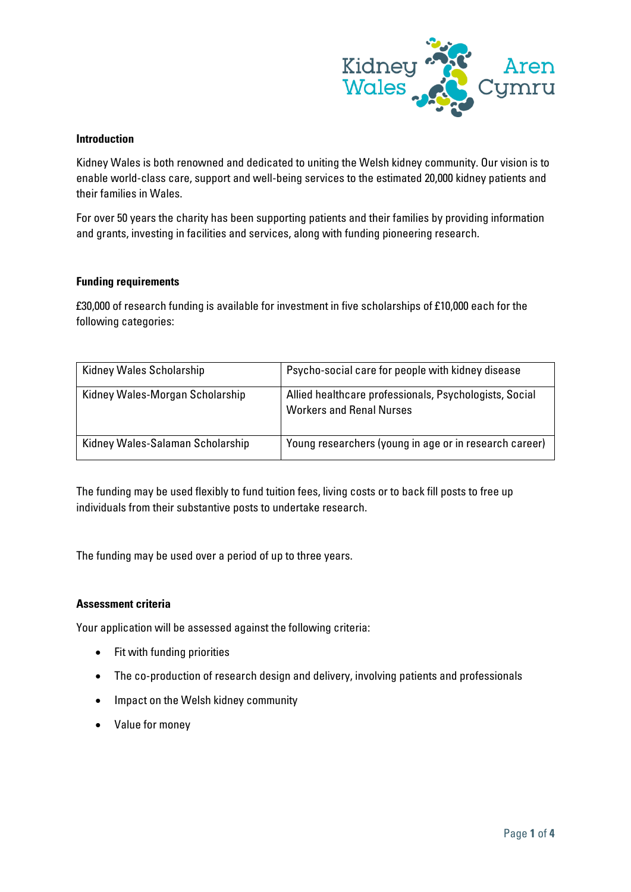

## **Introduction**

Kidney Wales is both renowned and dedicated to uniting the Welsh kidney community. Our vision is to enable world-class care, support and well-being services to the estimated 20,000 kidney patients and their families in Wales.

For over 50 years the charity has been supporting patients and their families by providing information and grants, investing in facilities and services, along with funding pioneering research.

### **Funding requirements**

£30,000 of research funding is available for investment in five scholarships of £10,000 each for the following categories:

| Kidney Wales Scholarship         | Psycho-social care for people with kidney disease                                         |
|----------------------------------|-------------------------------------------------------------------------------------------|
| Kidney Wales-Morgan Scholarship  | Allied healthcare professionals, Psychologists, Social<br><b>Workers and Renal Nurses</b> |
| Kidney Wales-Salaman Scholarship | Young researchers (young in age or in research career)                                    |

The funding may be used flexibly to fund tuition fees, living costs or to back fill posts to free up individuals from their substantive posts to undertake research.

The funding may be used over a period of up to three years.

#### **Assessment criteria**

Your application will be assessed against the following criteria:

- Fit with funding priorities
- The co-production of research design and delivery, involving patients and professionals
- Impact on the Welsh kidney community
- Value for money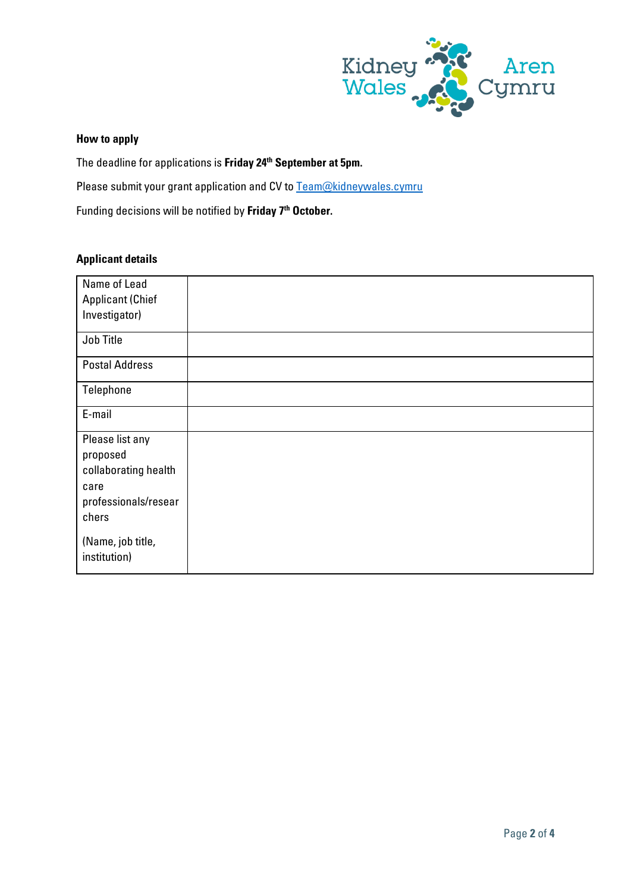

# **How to apply**

The deadline for applications is **Friday 24th September at 5pm.**

Please submit your grant application and CV to [Team@kidneywales.cymru](mailto:Team@kidneywales.cymru)

Funding decisions will be notified by **Friday 7th October.**

## **Applicant details**

| Name of Lead                      |  |
|-----------------------------------|--|
| <b>Applicant (Chief</b>           |  |
| Investigator)                     |  |
| Job Title                         |  |
| <b>Postal Address</b>             |  |
| Telephone                         |  |
| E-mail                            |  |
| Please list any                   |  |
| proposed                          |  |
| collaborating health              |  |
| care                              |  |
| professionals/resear              |  |
| chers                             |  |
| (Name, job title,<br>institution) |  |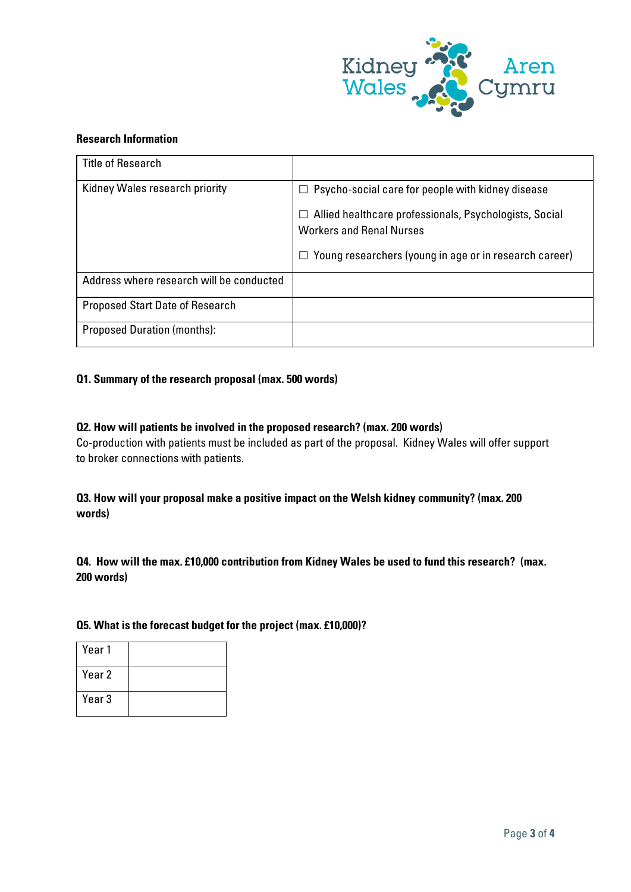

## **Research Information**

| <b>Title of Research</b>                 |                                                                                                                                                                                                                        |
|------------------------------------------|------------------------------------------------------------------------------------------------------------------------------------------------------------------------------------------------------------------------|
| Kidney Wales research priority           | $\Box$ Psycho-social care for people with kidney disease<br>$\Box$ Allied healthcare professionals, Psychologists, Social<br><b>Workers and Renal Nurses</b><br>Young researchers (young in age or in research career) |
| Address where research will be conducted |                                                                                                                                                                                                                        |
| <b>Proposed Start Date of Research</b>   |                                                                                                                                                                                                                        |
| <b>Proposed Duration (months):</b>       |                                                                                                                                                                                                                        |

### **Q1. Summary of the research proposal (max. 500 words)**

### **Q2. How will patients be involved in the proposed research? (max. 200 words)**

Co-production with patients must be included as part of the proposal. Kidney Wales will offer support to broker connections with patients.

# **Q3. How will your proposal make a positive impact on the Welsh kidney community? (max. 200 words)**

**Q4. How will the max. £10,000 contribution from Kidney Wales be used to fund this research? (max. 200 words)**

#### **Q5. What is the forecast budget for the project (max. £10,000)?**

| Year 1            |  |
|-------------------|--|
| Year 2            |  |
| Year <sub>3</sub> |  |